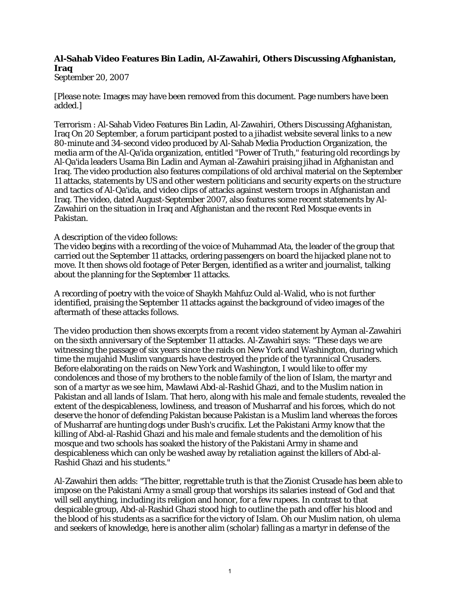## **Al-Sahab Video Features Bin Ladin, Al-Zawahiri, Others Discussing Afghanistan, Iraq**

September 20, 2007

[Please note: Images may have been removed from this document. Page numbers have been added.]

Terrorism : Al-Sahab Video Features Bin Ladin, Al-Zawahiri, Others Discussing Afghanistan, Iraq On 20 September, a forum participant posted to a jihadist website several links to a new 80-minute and 34-second video produced by Al-Sahab Media Production Organization, the media arm of the Al-Qa'ida organization, entitled "Power of Truth," featuring old recordings by Al-Qa'ida leaders Usama Bin Ladin and Ayman al-Zawahiri praising jihad in Afghanistan and Iraq. The video production also features compilations of old archival material on the September 11 attacks, statements by US and other western politicians and security experts on the structure and tactics of Al-Qa'ida, and video clips of attacks against western troops in Afghanistan and Iraq. The video, dated August-September 2007, also features some recent statements by Al-Zawahiri on the situation in Iraq and Afghanistan and the recent Red Mosque events in Pakistan.

## A description of the video follows:

The video begins with a recording of the voice of Muhammad Ata, the leader of the group that carried out the September 11 attacks, ordering passengers on board the hijacked plane not to move. It then shows old footage of Peter Bergen, identified as a writer and journalist, talking about the planning for the September 11 attacks.

A recording of poetry with the voice of Shaykh Mahfuz Ould al-Walid, who is not further identified, praising the September 11 attacks against the background of video images of the aftermath of these attacks follows.

The video production then shows excerpts from a recent video statement by Ayman al-Zawahiri on the sixth anniversary of the September 11 attacks. Al-Zawahiri says: "These days we are witnessing the passage of six years since the raids on New York and Washington, during which time the mujahid Muslim vanguards have destroyed the pride of the tyrannical Crusaders. Before elaborating on the raids on New York and Washington, I would like to offer my condolences and those of my brothers to the noble family of the lion of Islam, the martyr and son of a martyr as we see him, Mawlawi Abd-al-Rashid Ghazi, and to the Muslim nation in Pakistan and all lands of Islam. That hero, along with his male and female students, revealed the extent of the despicableness, lowliness, and treason of Musharraf and his forces, which do not deserve the honor of defending Pakistan because Pakistan is a Muslim land whereas the forces of Musharraf are hunting dogs under Bush's crucifix. Let the Pakistani Army know that the killing of Abd-al-Rashid Ghazi and his male and female students and the demolition of his mosque and two schools has soaked the history of the Pakistani Army in shame and despicableness which can only be washed away by retaliation against the killers of Abd-al-Rashid Ghazi and his students."

Al-Zawahiri then adds: "The bitter, regrettable truth is that the Zionist Crusade has been able to impose on the Pakistani Army a small group that worships its salaries instead of God and that will sell anything, including its religion and honor, for a few rupees. In contrast to that despicable group, Abd-al-Rashid Ghazi stood high to outline the path and offer his blood and the blood of his students as a sacrifice for the victory of Islam. Oh our Muslim nation, oh ulema and seekers of knowledge, here is another alim (scholar) falling as a martyr in defense of the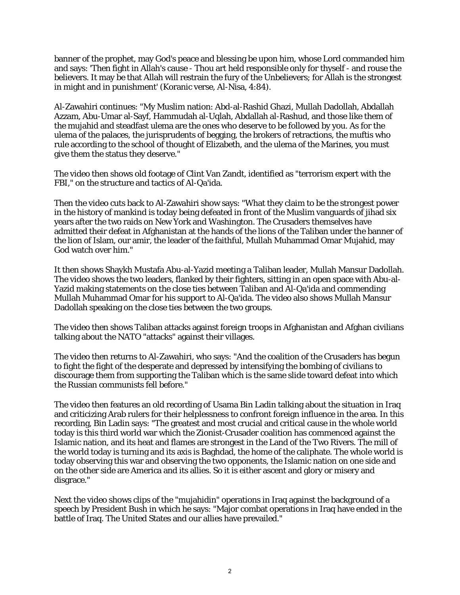banner of the prophet, may God's peace and blessing be upon him, whose Lord commanded him and says: 'Then fight in Allah's cause - Thou art held responsible only for thyself - and rouse the believers. It may be that Allah will restrain the fury of the Unbelievers; for Allah is the strongest in might and in punishment' (Koranic verse, Al-Nisa, 4:84).

Al-Zawahiri continues: "My Muslim nation: Abd-al-Rashid Ghazi, Mullah Dadollah, Abdallah Azzam, Abu-Umar al-Sayf, Hammudah al-Uqlah, Abdallah al-Rashud, and those like them of the mujahid and steadfast ulema are the ones who deserve to be followed by you. As for the ulema of the palaces, the jurisprudents of begging, the brokers of retractions, the muftis who rule according to the school of thought of Elizabeth, and the ulema of the Marines, you must give them the status they deserve."

The video then shows old footage of Clint Van Zandt, identified as "terrorism expert with the FBI," on the structure and tactics of Al-Qa'ida.

Then the video cuts back to Al-Zawahiri show says: "What they claim to be the strongest power in the history of mankind is today being defeated in front of the Muslim vanguards of jihad six years after the two raids on New York and Washington. The Crusaders themselves have admitted their defeat in Afghanistan at the hands of the lions of the Taliban under the banner of the lion of Islam, our amir, the leader of the faithful, Mullah Muhammad Omar Mujahid, may God watch over him."

It then shows Shaykh Mustafa Abu-al-Yazid meeting a Taliban leader, Mullah Mansur Dadollah. The video shows the two leaders, flanked by their fighters, sitting in an open space with Abu-al-Yazid making statements on the close ties between Taliban and Al-Qa'ida and commending Mullah Muhammad Omar for his support to Al-Qa'ida. The video also shows Mullah Mansur Dadollah speaking on the close ties between the two groups.

The video then shows Taliban attacks against foreign troops in Afghanistan and Afghan civilians talking about the NATO "attacks" against their villages.

The video then returns to Al-Zawahiri, who says: "And the coalition of the Crusaders has begun to fight the fight of the desperate and depressed by intensifying the bombing of civilians to discourage them from supporting the Taliban which is the same slide toward defeat into which the Russian communists fell before."

The video then features an old recording of Usama Bin Ladin talking about the situation in Iraq and criticizing Arab rulers for their helplessness to confront foreign influence in the area. In this recording, Bin Ladin says: "The greatest and most crucial and critical cause in the whole world today is this third world war which the Zionist-Crusader coalition has commenced against the Islamic nation, and its heat and flames are strongest in the Land of the Two Rivers. The mill of the world today is turning and its axis is Baghdad, the home of the caliphate. The whole world is today observing this war and observing the two opponents, the Islamic nation on one side and on the other side are America and its allies. So it is either ascent and glory or misery and disgrace."

Next the video shows clips of the "mujahidin" operations in Iraq against the background of a speech by President Bush in which he says: "Major combat operations in Iraq have ended in the battle of Iraq. The United States and our allies have prevailed."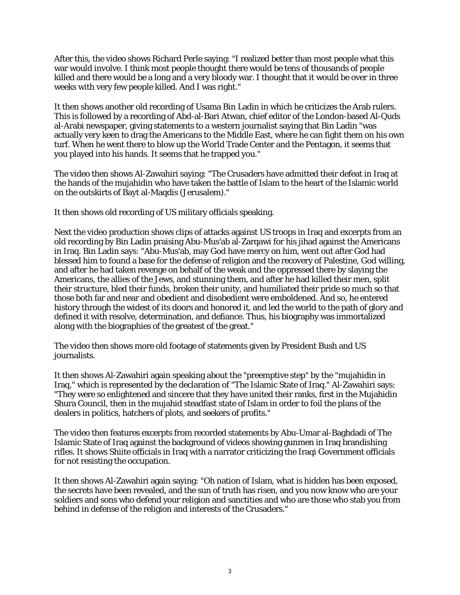After this, the video shows Richard Perle saying: "I realized better than most people what this war would involve. I think most people thought there would be tens of thousands of people killed and there would be a long and a very bloody war. I thought that it would be over in three weeks with very few people killed. And I was right."

It then shows another old recording of Usama Bin Ladin in which he criticizes the Arab rulers. This is followed by a recording of Abd-al-Bari Atwan, chief editor of the London-based Al-Quds al-Arabi newspaper, giving statements to a western journalist saying that Bin Ladin "was actually very keen to drag the Americans to the Middle East, where he can fight them on his own turf. When he went there to blow up the World Trade Center and the Pentagon, it seems that you played into his hands. It seems that he trapped you."

The video then shows Al-Zawahiri saying: "The Crusaders have admitted their defeat in Iraq at the hands of the mujahidin who have taken the battle of Islam to the heart of the Islamic world on the outskirts of Bayt al-Maqdis (Jerusalem)."

It then shows old recording of US military officials speaking.

Next the video production shows clips of attacks against US troops in Iraq and excerpts from an old recording by Bin Ladin praising Abu-Mus'ab al-Zarqawi for his jihad against the Americans in Iraq. Bin Ladin says: "Abu-Mus'ab, may God have mercy on him, went out after God had blessed him to found a base for the defense of religion and the recovery of Palestine, God willing, and after he had taken revenge on behalf of the weak and the oppressed there by slaying the Americans, the allies of the Jews, and stunning them, and after he had killed their men, split their structure, bled their funds, broken their unity, and humiliated their pride so much so that those both far and near and obedient and disobedient were emboldened. And so, he entered history through the widest of its doors and honored it, and led the world to the path of glory and defined it with resolve, determination, and defiance. Thus, his biography was immortalized along with the biographies of the greatest of the great."

The video then shows more old footage of statements given by President Bush and US journalists.

It then shows Al-Zawahiri again speaking about the "preemptive step" by the "mujahidin in Iraq," which is represented by the declaration of "The Islamic State of Iraq." Al-Zawahiri says: "They were so enlightened and sincere that they have united their ranks, first in the Mujahidin Shura Council, then in the mujahid steadfast state of Islam in order to foil the plans of the dealers in politics, hatchers of plots, and seekers of profits."

The video then features excerpts from recorded statements by Abu-Umar al-Baghdadi of The Islamic State of Iraq against the background of videos showing gunmen in Iraq brandishing rifles. It shows Shiite officials in Iraq with a narrator criticizing the Iraqi Government officials for not resisting the occupation.

It then shows Al-Zawahiri again saying: "Oh nation of Islam, what is hidden has been exposed, the secrets have been revealed, and the sun of truth has risen, and you now know who are your soldiers and sons who defend your religion and sanctities and who are those who stab you from behind in defense of the religion and interests of the Crusaders."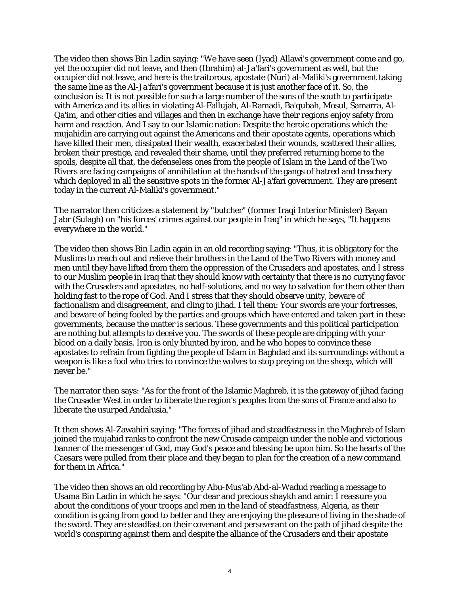The video then shows Bin Ladin saying: "We have seen (Iyad) Allawi's government come and go, yet the occupier did not leave, and then (Ibrahim) al-Ja'fari's government as well, but the occupier did not leave, and here is the traitorous, apostate (Nuri) al-Maliki's government taking the same line as the Al-Ja'fari's government because it is just another face of it. So, the conclusion is: It is not possible for such a large number of the sons of the south to participate with America and its allies in violating Al-Fallujah, Al-Ramadi, Ba'qubah, Mosul, Samarra, Al-Qa'im, and other cities and villages and then in exchange have their regions enjoy safety from harm and reaction. And I say to our Islamic nation: Despite the heroic operations which the mujahidin are carrying out against the Americans and their apostate agents, operations which have killed their men, dissipated their wealth, exacerbated their wounds, scattered their allies, broken their prestige, and revealed their shame, until they preferred returning home to the spoils, despite all that, the defenseless ones from the people of Islam in the Land of the Two Rivers are facing campaigns of annihilation at the hands of the gangs of hatred and treachery which deployed in all the sensitive spots in the former Al-Ja'fari government. They are present today in the current Al-Maliki's government."

The narrator then criticizes a statement by "butcher" (former Iraqi Interior Minister) Bayan Jabr (Sulagh) on "his forces' crimes against our people in Iraq" in which he says, "It happens everywhere in the world."

The video then shows Bin Ladin again in an old recording saying: "Thus, it is obligatory for the Muslims to reach out and relieve their brothers in the Land of the Two Rivers with money and men until they have lifted from them the oppression of the Crusaders and apostates, and I stress to our Muslim people in Iraq that they should know with certainty that there is no currying favor with the Crusaders and apostates, no half-solutions, and no way to salvation for them other than holding fast to the rope of God. And I stress that they should observe unity, beware of factionalism and disagreement, and cling to jihad. I tell them: Your swords are your fortresses, and beware of being fooled by the parties and groups which have entered and taken part in these governments, because the matter is serious. These governments and this political participation are nothing but attempts to deceive you. The swords of these people are dripping with your blood on a daily basis. Iron is only blunted by iron, and he who hopes to convince these apostates to refrain from fighting the people of Islam in Baghdad and its surroundings without a weapon is like a fool who tries to convince the wolves to stop preying on the sheep, which will never be."

The narrator then says: "As for the front of the Islamic Maghreb, it is the gateway of jihad facing the Crusader West in order to liberate the region's peoples from the sons of France and also to liberate the usurped Andalusia."

It then shows Al-Zawahiri saying: "The forces of jihad and steadfastness in the Maghreb of Islam joined the mujahid ranks to confront the new Crusade campaign under the noble and victorious banner of the messenger of God, may God's peace and blessing be upon him. So the hearts of the Caesars were pulled from their place and they began to plan for the creation of a new command for them in Africa."

The video then shows an old recording by Abu-Mus'ab Abd-al-Wadud reading a message to Usama Bin Ladin in which he says: "Our dear and precious shaykh and amir: I reassure you about the conditions of your troops and men in the land of steadfastness, Algeria, as their condition is going from good to better and they are enjoying the pleasure of living in the shade of the sword. They are steadfast on their covenant and perseverant on the path of jihad despite the world's conspiring against them and despite the alliance of the Crusaders and their apostate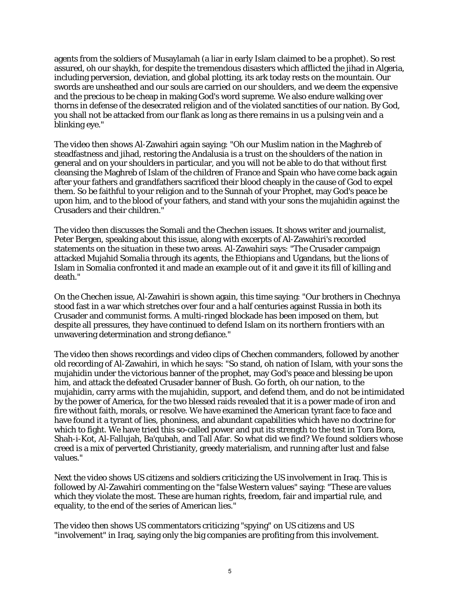agents from the soldiers of Musaylamah (a liar in early Islam claimed to be a prophet). So rest assured, oh our shaykh, for despite the tremendous disasters which afflicted the jihad in Algeria, including perversion, deviation, and global plotting, its ark today rests on the mountain. Our swords are unsheathed and our souls are carried on our shoulders, and we deem the expensive and the precious to be cheap in making God's word supreme. We also endure walking over thorns in defense of the desecrated religion and of the violated sanctities of our nation. By God, you shall not be attacked from our flank as long as there remains in us a pulsing vein and a blinking eye."

The video then shows Al-Zawahiri again saying: "Oh our Muslim nation in the Maghreb of steadfastness and jihad, restoring the Andalusia is a trust on the shoulders of the nation in general and on your shoulders in particular, and you will not be able to do that without first cleansing the Maghreb of Islam of the children of France and Spain who have come back again after your fathers and grandfathers sacrificed their blood cheaply in the cause of God to expel them. So be faithful to your religion and to the Sunnah of your Prophet, may God's peace be upon him, and to the blood of your fathers, and stand with your sons the mujahidin against the Crusaders and their children."

The video then discusses the Somali and the Chechen issues. It shows writer and journalist, Peter Bergen, speaking about this issue, along with excerpts of Al-Zawahiri's recorded statements on the situation in these two areas. Al-Zawahiri says: "The Crusader campaign attacked Mujahid Somalia through its agents, the Ethiopians and Ugandans, but the lions of Islam in Somalia confronted it and made an example out of it and gave it its fill of killing and death."

On the Chechen issue, Al-Zawahiri is shown again, this time saying: "Our brothers in Chechnya stood fast in a war which stretches over four and a half centuries against Russia in both its Crusader and communist forms. A multi-ringed blockade has been imposed on them, but despite all pressures, they have continued to defend Islam on its northern frontiers with an unwavering determination and strong defiance."

The video then shows recordings and video clips of Chechen commanders, followed by another old recording of Al-Zawahiri, in which he says: "So stand, oh nation of Islam, with your sons the mujahidin under the victorious banner of the prophet, may God's peace and blessing be upon him, and attack the defeated Crusader banner of Bush. Go forth, oh our nation, to the mujahidin, carry arms with the mujahidin, support, and defend them, and do not be intimidated by the power of America, for the two blessed raids revealed that it is a power made of iron and fire without faith, morals, or resolve. We have examined the American tyrant face to face and have found it a tyrant of lies, phoniness, and abundant capabilities which have no doctrine for which to fight. We have tried this so-called power and put its strength to the test in Tora Bora, Shah-i-Kot, Al-Fallujah, Ba'qubah, and Tall Afar. So what did we find? We found soldiers whose creed is a mix of perverted Christianity, greedy materialism, and running after lust and false values."

Next the video shows US citizens and soldiers criticizing the US involvement in Iraq. This is followed by Al-Zawahiri commenting on the "false Western values" saying: "These are values which they violate the most. These are human rights, freedom, fair and impartial rule, and equality, to the end of the series of American lies."

The video then shows US commentators criticizing "spying" on US citizens and US "involvement" in Iraq, saying only the big companies are profiting from this involvement.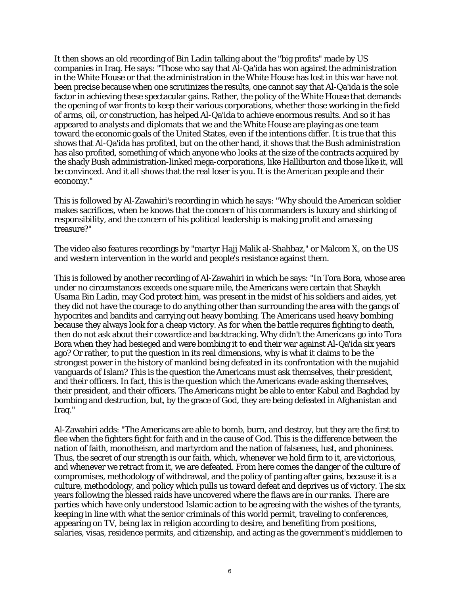It then shows an old recording of Bin Ladin talking about the "big profits" made by US companies in Iraq. He says: "Those who say that Al-Qa'ida has won against the administration in the White House or that the administration in the White House has lost in this war have not been precise because when one scrutinizes the results, one cannot say that Al-Qa'ida is the sole factor in achieving these spectacular gains. Rather, the policy of the White House that demands the opening of war fronts to keep their various corporations, whether those working in the field of arms, oil, or construction, has helped Al-Qa'ida to achieve enormous results. And so it has appeared to analysts and diplomats that we and the White House are playing as one team toward the economic goals of the United States, even if the intentions differ. It is true that this shows that Al-Qa'ida has profited, but on the other hand, it shows that the Bush administration has also profited, something of which anyone who looks at the size of the contracts acquired by the shady Bush administration-linked mega-corporations, like Halliburton and those like it, will be convinced. And it all shows that the real loser is you. It is the American people and their economy."

This is followed by Al-Zawahiri's recording in which he says: "Why should the American soldier makes sacrifices, when he knows that the concern of his commanders is luxury and shirking of responsibility, and the concern of his political leadership is making profit and amassing treasure?"

The video also features recordings by "martyr Hajj Malik al-Shahbaz," or Malcom X, on the US and western intervention in the world and people's resistance against them.

This is followed by another recording of Al-Zawahiri in which he says: "In Tora Bora, whose area under no circumstances exceeds one square mile, the Americans were certain that Shaykh Usama Bin Ladin, may God protect him, was present in the midst of his soldiers and aides, yet they did not have the courage to do anything other than surrounding the area with the gangs of hypocrites and bandits and carrying out heavy bombing. The Americans used heavy bombing because they always look for a cheap victory. As for when the battle requires fighting to death, then do not ask about their cowardice and backtracking. Why didn't the Americans go into Tora Bora when they had besieged and were bombing it to end their war against Al-Qa'ida six years ago? Or rather, to put the question in its real dimensions, why is what it claims to be the strongest power in the history of mankind being defeated in its confrontation with the mujahid vanguards of Islam? This is the question the Americans must ask themselves, their president, and their officers. In fact, this is the question which the Americans evade asking themselves, their president, and their officers. The Americans might be able to enter Kabul and Baghdad by bombing and destruction, but, by the grace of God, they are being defeated in Afghanistan and Iraq."

Al-Zawahiri adds: "The Americans are able to bomb, burn, and destroy, but they are the first to flee when the fighters fight for faith and in the cause of God. This is the difference between the nation of faith, monotheism, and martyrdom and the nation of falseness, lust, and phoniness. Thus, the secret of our strength is our faith, which, whenever we hold firm to it, are victorious, and whenever we retract from it, we are defeated. From here comes the danger of the culture of compromises, methodology of withdrawal, and the policy of panting after gains, because it is a culture, methodology, and policy which pulls us toward defeat and deprives us of victory. The six years following the blessed raids have uncovered where the flaws are in our ranks. There are parties which have only understood Islamic action to be agreeing with the wishes of the tyrants, keeping in line with what the senior criminals of this world permit, traveling to conferences, appearing on TV, being lax in religion according to desire, and benefiting from positions, salaries, visas, residence permits, and citizenship, and acting as the government's middlemen to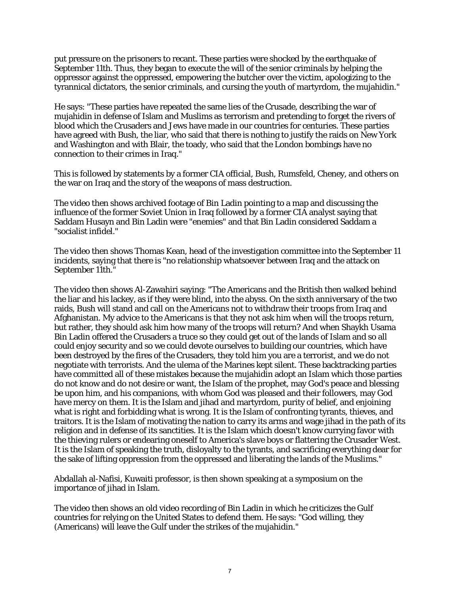put pressure on the prisoners to recant. These parties were shocked by the earthquake of September 11th. Thus, they began to execute the will of the senior criminals by helping the oppressor against the oppressed, empowering the butcher over the victim, apologizing to the tyrannical dictators, the senior criminals, and cursing the youth of martyrdom, the mujahidin."

He says: "These parties have repeated the same lies of the Crusade, describing the war of mujahidin in defense of Islam and Muslims as terrorism and pretending to forget the rivers of blood which the Crusaders and Jews have made in our countries for centuries. These parties have agreed with Bush, the liar, who said that there is nothing to justify the raids on New York and Washington and with Blair, the toady, who said that the London bombings have no connection to their crimes in Iraq."

This is followed by statements by a former CIA official, Bush, Rumsfeld, Cheney, and others on the war on Iraq and the story of the weapons of mass destruction.

The video then shows archived footage of Bin Ladin pointing to a map and discussing the influence of the former Soviet Union in Iraq followed by a former CIA analyst saying that Saddam Husayn and Bin Ladin were "enemies" and that Bin Ladin considered Saddam a "socialist infidel."

The video then shows Thomas Kean, head of the investigation committee into the September 11 incidents, saying that there is "no relationship whatsoever between Iraq and the attack on September 11th."

The video then shows Al-Zawahiri saying: "The Americans and the British then walked behind the liar and his lackey, as if they were blind, into the abyss. On the sixth anniversary of the two raids, Bush will stand and call on the Americans not to withdraw their troops from Iraq and Afghanistan. My advice to the Americans is that they not ask him when will the troops return, but rather, they should ask him how many of the troops will return? And when Shaykh Usama Bin Ladin offered the Crusaders a truce so they could get out of the lands of Islam and so all could enjoy security and so we could devote ourselves to building our countries, which have been destroyed by the fires of the Crusaders, they told him you are a terrorist, and we do not negotiate with terrorists. And the ulema of the Marines kept silent. These backtracking parties have committed all of these mistakes because the mujahidin adopt an Islam which those parties do not know and do not desire or want, the Islam of the prophet, may God's peace and blessing be upon him, and his companions, with whom God was pleased and their followers, may God have mercy on them. It is the Islam and jihad and martyrdom, purity of belief, and enjoining what is right and forbidding what is wrong. It is the Islam of confronting tyrants, thieves, and traitors. It is the Islam of motivating the nation to carry its arms and wage jihad in the path of its religion and in defense of its sanctities. It is the Islam which doesn't know currying favor with the thieving rulers or endearing oneself to America's slave boys or flattering the Crusader West. It is the Islam of speaking the truth, disloyalty to the tyrants, and sacrificing everything dear for the sake of lifting oppression from the oppressed and liberating the lands of the Muslims."

Abdallah al-Nafisi, Kuwaiti professor, is then shown speaking at a symposium on the importance of jihad in Islam.

The video then shows an old video recording of Bin Ladin in which he criticizes the Gulf countries for relying on the United States to defend them. He says: "God willing, they (Americans) will leave the Gulf under the strikes of the mujahidin."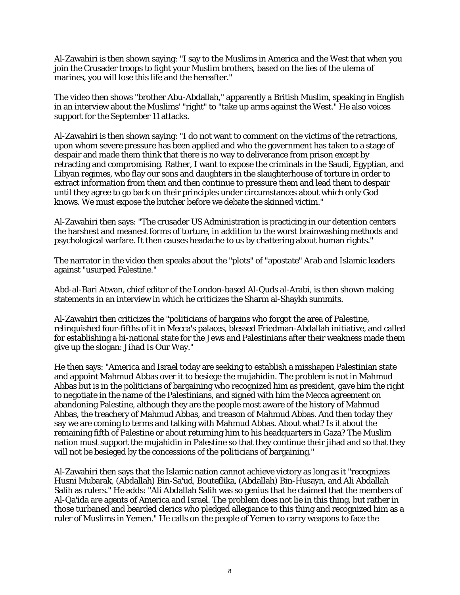Al-Zawahiri is then shown saying: "I say to the Muslims in America and the West that when you join the Crusader troops to fight your Muslim brothers, based on the lies of the ulema of marines, you will lose this life and the hereafter."

The video then shows "brother Abu-Abdallah," apparently a British Muslim, speaking in English in an interview about the Muslims' "right" to "take up arms against the West." He also voices support for the September 11 attacks.

Al-Zawahiri is then shown saying: "I do not want to comment on the victims of the retractions, upon whom severe pressure has been applied and who the government has taken to a stage of despair and made them think that there is no way to deliverance from prison except by retracting and compromising. Rather, I want to expose the criminals in the Saudi, Egyptian, and Libyan regimes, who flay our sons and daughters in the slaughterhouse of torture in order to extract information from them and then continue to pressure them and lead them to despair until they agree to go back on their principles under circumstances about which only God knows. We must expose the butcher before we debate the skinned victim."

Al-Zawahiri then says: "The crusader US Administration is practicing in our detention centers the harshest and meanest forms of torture, in addition to the worst brainwashing methods and psychological warfare. It then causes headache to us by chattering about human rights."

The narrator in the video then speaks about the "plots" of "apostate" Arab and Islamic leaders against "usurped Palestine."

Abd-al-Bari Atwan, chief editor of the London-based Al-Quds al-Arabi, is then shown making statements in an interview in which he criticizes the Sharm al-Shaykh summits.

Al-Zawahiri then criticizes the "politicians of bargains who forgot the area of Palestine, relinquished four-fifths of it in Mecca's palaces, blessed Friedman-Abdallah initiative, and called for establishing a bi-national state for the Jews and Palestinians after their weakness made them give up the slogan: Jihad Is Our Way."

He then says: "America and Israel today are seeking to establish a misshapen Palestinian state and appoint Mahmud Abbas over it to besiege the mujahidin. The problem is not in Mahmud Abbas but is in the politicians of bargaining who recognized him as president, gave him the right to negotiate in the name of the Palestinians, and signed with him the Mecca agreement on abandoning Palestine, although they are the people most aware of the history of Mahmud Abbas, the treachery of Mahmud Abbas, and treason of Mahmud Abbas. And then today they say we are coming to terms and talking with Mahmud Abbas. About what? Is it about the remaining fifth of Palestine or about returning him to his headquarters in Gaza? The Muslim nation must support the mujahidin in Palestine so that they continue their jihad and so that they will not be besieged by the concessions of the politicians of bargaining."

Al-Zawahiri then says that the Islamic nation cannot achieve victory as long as it "recognizes Husni Mubarak, (Abdallah) Bin-Sa'ud, Bouteflika, (Abdallah) Bin-Husayn, and Ali Abdallah Salih as rulers." He adds: "Ali Abdallah Salih was so genius that he claimed that the members of Al-Qa'ida are agents of America and Israel. The problem does not lie in this thing, but rather in those turbaned and bearded clerics who pledged allegiance to this thing and recognized him as a ruler of Muslims in Yemen." He calls on the people of Yemen to carry weapons to face the